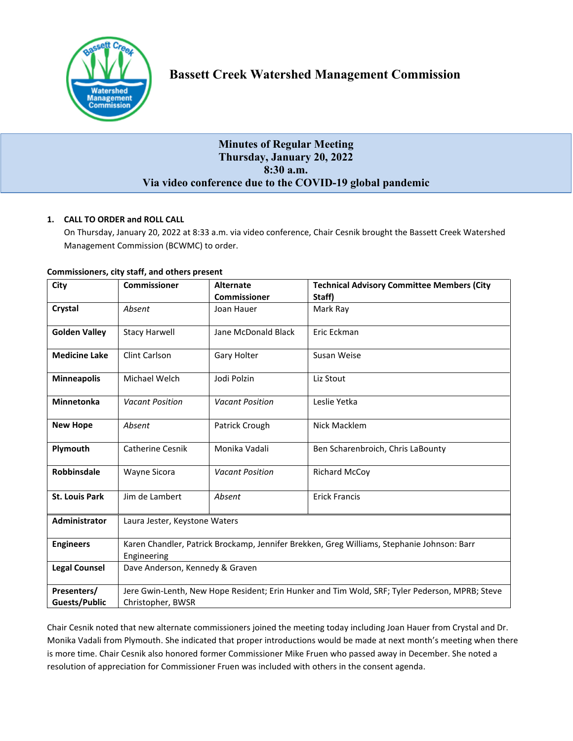

# **Minutes of Regular Meeting Thursday, January 20, 2022 8:30 a.m. Via video conference due to the COVID-19 global pandemic**

## **1. CALL TO ORDER and ROLL CALL**

On Thursday, January 20, 2022 at 8:33 a.m. via video conference, Chair Cesnik brought the Bassett Creek Watershed Management Commission (BCWMC) to order.

| City                  | <b>Commissioner</b>                                                                            | <b>Alternate</b>       | <b>Technical Advisory Committee Members (City</b> |  |
|-----------------------|------------------------------------------------------------------------------------------------|------------------------|---------------------------------------------------|--|
|                       |                                                                                                | <b>Commissioner</b>    | Staff)                                            |  |
| Crystal               | Absent                                                                                         | Joan Hauer             | Mark Ray                                          |  |
| <b>Golden Valley</b>  | <b>Stacy Harwell</b>                                                                           | Jane McDonald Black    | Eric Eckman                                       |  |
| <b>Medicine Lake</b>  | Clint Carlson                                                                                  | Gary Holter            | Susan Weise                                       |  |
| <b>Minneapolis</b>    | Michael Welch                                                                                  | Jodi Polzin            | Liz Stout                                         |  |
| <b>Minnetonka</b>     | <b>Vacant Position</b>                                                                         | <b>Vacant Position</b> | Leslie Yetka                                      |  |
| <b>New Hope</b>       | Absent                                                                                         | Patrick Crough         | Nick Macklem                                      |  |
| Plymouth              | Catherine Cesnik                                                                               | Monika Vadali          | Ben Scharenbroich, Chris LaBounty                 |  |
| <b>Robbinsdale</b>    | Wayne Sicora                                                                                   | <b>Vacant Position</b> | <b>Richard McCoy</b>                              |  |
| <b>St. Louis Park</b> | Jim de Lambert                                                                                 | Absent                 | <b>Erick Francis</b>                              |  |
| <b>Administrator</b>  | Laura Jester, Keystone Waters                                                                  |                        |                                                   |  |
| <b>Engineers</b>      | Karen Chandler, Patrick Brockamp, Jennifer Brekken, Greg Williams, Stephanie Johnson: Barr     |                        |                                                   |  |
|                       | Engineering                                                                                    |                        |                                                   |  |
| <b>Legal Counsel</b>  | Dave Anderson, Kennedy & Graven                                                                |                        |                                                   |  |
| Presenters/           | Jere Gwin-Lenth, New Hope Resident; Erin Hunker and Tim Wold, SRF; Tyler Pederson, MPRB; Steve |                        |                                                   |  |
| <b>Guests/Public</b>  | Christopher, BWSR                                                                              |                        |                                                   |  |

#### **Commissioners, city staff, and others present**

Chair Cesnik noted that new alternate commissioners joined the meeting today including Joan Hauer from Crystal and Dr. Monika Vadali from Plymouth. She indicated that proper introductions would be made at next month's meeting when there is more time. Chair Cesnik also honored former Commissioner Mike Fruen who passed away in December. She noted a resolution of appreciation for Commissioner Fruen was included with others in the consent agenda.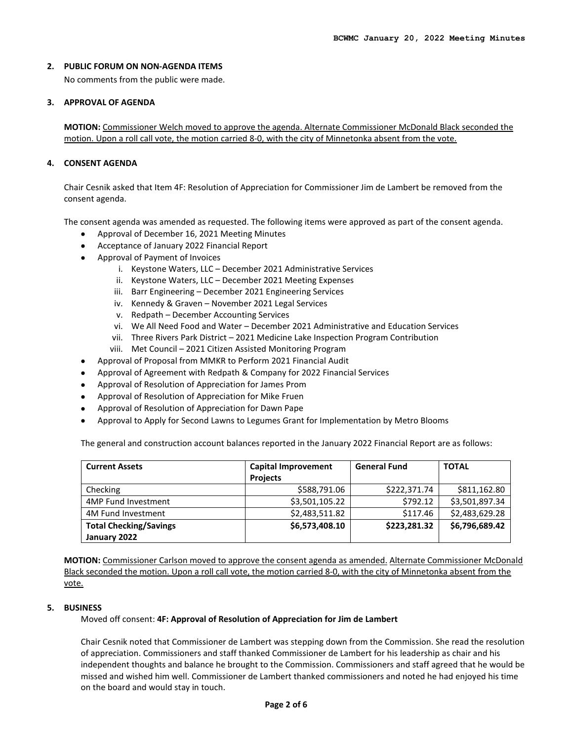#### **2. PUBLIC FORUM ON NON-AGENDA ITEMS**

No comments from the public were made.

#### **3. APPROVAL OF AGENDA**

**MOTION:** Commissioner Welch moved to approve the agenda. Alternate Commissioner McDonald Black seconded the motion. Upon a roll call vote, the motion carried 8-0, with the city of Minnetonka absent from the vote.

## **4. CONSENT AGENDA**

Chair Cesnik asked that Item 4F: Resolution of Appreciation for Commissioner Jim de Lambert be removed from the consent agenda.

The consent agenda was amended as requested. The following items were approved as part of the consent agenda.

- Approval of December 16, 2021 Meeting Minutes
- Acceptance of January 2022 Financial Report
- Approval of Payment of Invoices
	- i. Keystone Waters, LLC December 2021 Administrative Services
	- ii. Keystone Waters, LLC December 2021 Meeting Expenses
	- iii. Barr Engineering December 2021 Engineering Services
	- iv. Kennedy & Graven November 2021 Legal Services
	- v. Redpath December Accounting Services
	- vi. We All Need Food and Water December 2021 Administrative and Education Services
	- vii. Three Rivers Park District 2021 Medicine Lake Inspection Program Contribution
	- viii. Met Council 2021 Citizen Assisted Monitoring Program
- Approval of Proposal from MMKR to Perform 2021 Financial Audit
- Approval of Agreement with Redpath & Company for 2022 Financial Services
- Approval of Resolution of Appreciation for James Prom
- Approval of Resolution of Appreciation for Mike Fruen
- Approval of Resolution of Appreciation for Dawn Pape
- Approval to Apply for Second Lawns to Legumes Grant for Implementation by Metro Blooms

The general and construction account balances reported in the January 2022 Financial Report are as follows:

| <b>Current Assets</b>         | <b>Capital Improvement</b> | <b>General Fund</b> | <b>TOTAL</b>   |
|-------------------------------|----------------------------|---------------------|----------------|
|                               | <b>Projects</b>            |                     |                |
| Checking                      | \$588,791.06               | \$222,371.74        | \$811,162.80   |
| 4MP Fund Investment           | \$3,501,105.22             | \$792.12            | \$3,501,897.34 |
| 4M Fund Investment            | \$2,483,511.82             | \$117.46            | \$2,483,629.28 |
| <b>Total Checking/Savings</b> | \$6,573,408.10             | \$223,281.32        | \$6,796,689.42 |
| January 2022                  |                            |                     |                |

**MOTION:** Commissioner Carlson moved to approve the consent agenda as amended. Alternate Commissioner McDonald Black seconded the motion. Upon a roll call vote, the motion carried 8-0, with the city of Minnetonka absent from the vote.

#### **5. BUSINESS**

Moved off consent: **4F: Approval of Resolution of Appreciation for Jim de Lambert**

Chair Cesnik noted that Commissioner de Lambert was stepping down from the Commission. She read the resolution of appreciation. Commissioners and staff thanked Commissioner de Lambert for his leadership as chair and his independent thoughts and balance he brought to the Commission. Commissioners and staff agreed that he would be missed and wished him well. Commissioner de Lambert thanked commissioners and noted he had enjoyed his time on the board and would stay in touch.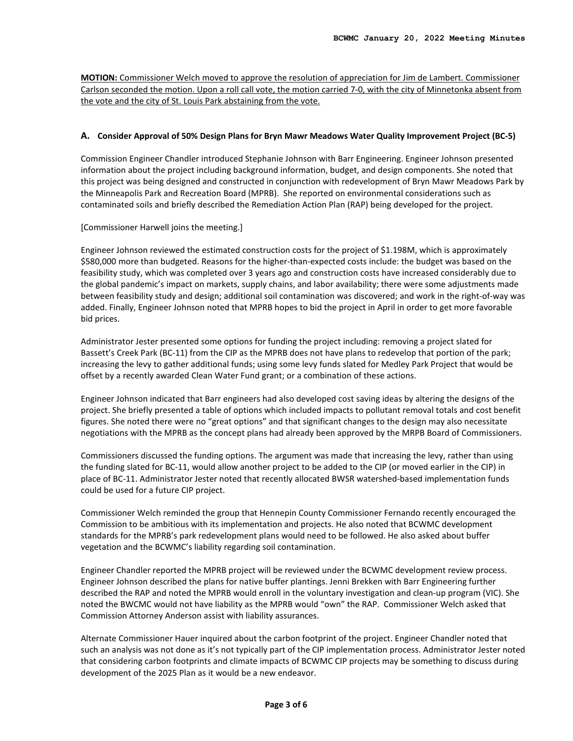**MOTION:** Commissioner Welch moved to approve the resolution of appreciation for Jim de Lambert. Commissioner Carlson seconded the motion. Upon a roll call vote, the motion carried 7-0, with the city of Minnetonka absent from the vote and the city of St. Louis Park abstaining from the vote.

#### **A. Consider Approval of 50% Design Plans for Bryn Mawr Meadows Water Quality Improvement Project (BC-5)**

Commission Engineer Chandler introduced Stephanie Johnson with Barr Engineering. Engineer Johnson presented information about the project including background information, budget, and design components. She noted that this project was being designed and constructed in conjunction with redevelopment of Bryn Mawr Meadows Park by the Minneapolis Park and Recreation Board (MPRB). She reported on environmental considerations such as contaminated soils and briefly described the Remediation Action Plan (RAP) being developed for the project.

[Commissioner Harwell joins the meeting.]

Engineer Johnson reviewed the estimated construction costs for the project of \$1.198M, which is approximately \$580,000 more than budgeted. Reasons for the higher-than-expected costs include: the budget was based on the feasibility study, which was completed over 3 years ago and construction costs have increased considerably due to the global pandemic's impact on markets, supply chains, and labor availability; there were some adjustments made between feasibility study and design; additional soil contamination was discovered; and work in the right-of-way was added. Finally, Engineer Johnson noted that MPRB hopes to bid the project in April in order to get more favorable bid prices.

Administrator Jester presented some options for funding the project including: removing a project slated for Bassett's Creek Park (BC-11) from the CIP as the MPRB does not have plans to redevelop that portion of the park; increasing the levy to gather additional funds; using some levy funds slated for Medley Park Project that would be offset by a recently awarded Clean Water Fund grant; or a combination of these actions.

Engineer Johnson indicated that Barr engineers had also developed cost saving ideas by altering the designs of the project. She briefly presented a table of options which included impacts to pollutant removal totals and cost benefit figures. She noted there were no "great options" and that significant changes to the design may also necessitate negotiations with the MPRB as the concept plans had already been approved by the MRPB Board of Commissioners.

Commissioners discussed the funding options. The argument was made that increasing the levy, rather than using the funding slated for BC-11, would allow another project to be added to the CIP (or moved earlier in the CIP) in place of BC-11. Administrator Jester noted that recently allocated BWSR watershed-based implementation funds could be used for a future CIP project.

Commissioner Welch reminded the group that Hennepin County Commissioner Fernando recently encouraged the Commission to be ambitious with its implementation and projects. He also noted that BCWMC development standards for the MPRB's park redevelopment plans would need to be followed. He also asked about buffer vegetation and the BCWMC's liability regarding soil contamination.

Engineer Chandler reported the MPRB project will be reviewed under the BCWMC development review process. Engineer Johnson described the plans for native buffer plantings. Jenni Brekken with Barr Engineering further described the RAP and noted the MPRB would enroll in the voluntary investigation and clean-up program (VIC). She noted the BWCMC would not have liability as the MPRB would "own" the RAP. Commissioner Welch asked that Commission Attorney Anderson assist with liability assurances.

Alternate Commissioner Hauer inquired about the carbon footprint of the project. Engineer Chandler noted that such an analysis was not done as it's not typically part of the CIP implementation process. Administrator Jester noted that considering carbon footprints and climate impacts of BCWMC CIP projects may be something to discuss during development of the 2025 Plan as it would be a new endeavor.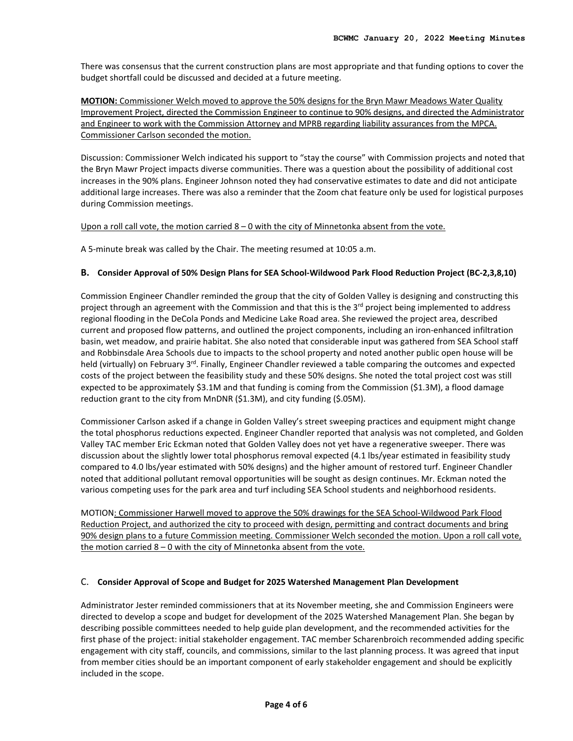There was consensus that the current construction plans are most appropriate and that funding options to cover the budget shortfall could be discussed and decided at a future meeting.

**MOTION:** Commissioner Welch moved to approve the 50% designs for the Bryn Mawr Meadows Water Quality Improvement Project, directed the Commission Engineer to continue to 90% designs, and directed the Administrator and Engineer to work with the Commission Attorney and MPRB regarding liability assurances from the MPCA. Commissioner Carlson seconded the motion.

Discussion: Commissioner Welch indicated his support to "stay the course" with Commission projects and noted that the Bryn Mawr Project impacts diverse communities. There was a question about the possibility of additional cost increases in the 90% plans. Engineer Johnson noted they had conservative estimates to date and did not anticipate additional large increases. There was also a reminder that the Zoom chat feature only be used for logistical purposes during Commission meetings.

Upon a roll call vote, the motion carried 8 – 0 with the city of Minnetonka absent from the vote.

A 5-minute break was called by the Chair. The meeting resumed at 10:05 a.m.

#### **B. Consider Approval of 50% Design Plans for SEA School-Wildwood Park Flood Reduction Project (BC-2,3,8,10)**

Commission Engineer Chandler reminded the group that the city of Golden Valley is designing and constructing this project through an agreement with the Commission and that this is the 3<sup>rd</sup> project being implemented to address regional flooding in the DeCola Ponds and Medicine Lake Road area. She reviewed the project area, described current and proposed flow patterns, and outlined the project components, including an iron-enhanced infiltration basin, wet meadow, and prairie habitat. She also noted that considerable input was gathered from SEA School staff and Robbinsdale Area Schools due to impacts to the school property and noted another public open house will be held (virtually) on February 3<sup>rd</sup>. Finally, Engineer Chandler reviewed a table comparing the outcomes and expected costs of the project between the feasibility study and these 50% designs. She noted the total project cost was still expected to be approximately \$3.1M and that funding is coming from the Commission (\$1.3M), a flood damage reduction grant to the city from MnDNR (\$1.3M), and city funding (\$.05M).

Commissioner Carlson asked if a change in Golden Valley's street sweeping practices and equipment might change the total phosphorus reductions expected. Engineer Chandler reported that analysis was not completed, and Golden Valley TAC member Eric Eckman noted that Golden Valley does not yet have a regenerative sweeper. There was discussion about the slightly lower total phosphorus removal expected (4.1 lbs/year estimated in feasibility study compared to 4.0 lbs/year estimated with 50% designs) and the higher amount of restored turf. Engineer Chandler noted that additional pollutant removal opportunities will be sought as design continues. Mr. Eckman noted the various competing uses for the park area and turf including SEA School students and neighborhood residents.

MOTION: Commissioner Harwell moved to approve the 50% drawings for the SEA School-Wildwood Park Flood Reduction Project, and authorized the city to proceed with design, permitting and contract documents and bring 90% design plans to a future Commission meeting. Commissioner Welch seconded the motion. Upon a roll call vote, the motion carried  $8 - 0$  with the city of Minnetonka absent from the vote.

#### C. **Consider Approval of Scope and Budget for 2025 Watershed Management Plan Development**

Administrator Jester reminded commissioners that at its November meeting, she and Commission Engineers were directed to develop a scope and budget for development of the 2025 Watershed Management Plan. She began by describing possible committees needed to help guide plan development, and the recommended activities for the first phase of the project: initial stakeholder engagement. TAC member Scharenbroich recommended adding specific engagement with city staff, councils, and commissions, similar to the last planning process. It was agreed that input from member cities should be an important component of early stakeholder engagement and should be explicitly included in the scope.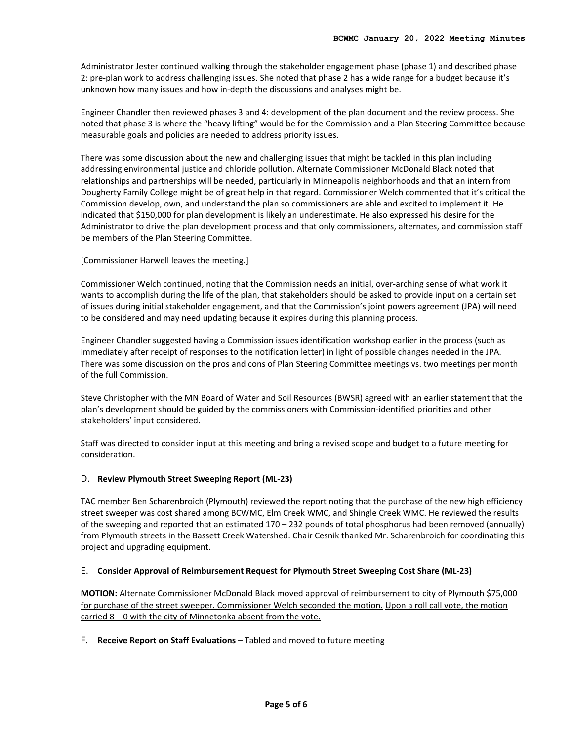Administrator Jester continued walking through the stakeholder engagement phase (phase 1) and described phase 2: pre-plan work to address challenging issues. She noted that phase 2 has a wide range for a budget because it's unknown how many issues and how in-depth the discussions and analyses might be.

Engineer Chandler then reviewed phases 3 and 4: development of the plan document and the review process. She noted that phase 3 is where the "heavy lifting" would be for the Commission and a Plan Steering Committee because measurable goals and policies are needed to address priority issues.

There was some discussion about the new and challenging issues that might be tackled in this plan including addressing environmental justice and chloride pollution. Alternate Commissioner McDonald Black noted that relationships and partnerships will be needed, particularly in Minneapolis neighborhoods and that an intern from Dougherty Family College might be of great help in that regard. Commissioner Welch commented that it's critical the Commission develop, own, and understand the plan so commissioners are able and excited to implement it. He indicated that \$150,000 for plan development is likely an underestimate. He also expressed his desire for the Administrator to drive the plan development process and that only commissioners, alternates, and commission staff be members of the Plan Steering Committee.

[Commissioner Harwell leaves the meeting.]

Commissioner Welch continued, noting that the Commission needs an initial, over-arching sense of what work it wants to accomplish during the life of the plan, that stakeholders should be asked to provide input on a certain set of issues during initial stakeholder engagement, and that the Commission's joint powers agreement (JPA) will need to be considered and may need updating because it expires during this planning process.

Engineer Chandler suggested having a Commission issues identification workshop earlier in the process (such as immediately after receipt of responses to the notification letter) in light of possible changes needed in the JPA. There was some discussion on the pros and cons of Plan Steering Committee meetings vs. two meetings per month of the full Commission.

Steve Christopher with the MN Board of Water and Soil Resources (BWSR) agreed with an earlier statement that the plan's development should be guided by the commissioners with Commission-identified priorities and other stakeholders' input considered.

Staff was directed to consider input at this meeting and bring a revised scope and budget to a future meeting for consideration.

#### D. **Review Plymouth Street Sweeping Report (ML-23)**

TAC member Ben Scharenbroich (Plymouth) reviewed the report noting that the purchase of the new high efficiency street sweeper was cost shared among BCWMC, Elm Creek WMC, and Shingle Creek WMC. He reviewed the results of the sweeping and reported that an estimated 170 – 232 pounds of total phosphorus had been removed (annually) from Plymouth streets in the Bassett Creek Watershed. Chair Cesnik thanked Mr. Scharenbroich for coordinating this project and upgrading equipment.

#### E. **Consider Approval of Reimbursement Request for Plymouth Street Sweeping Cost Share (ML-23)**

**MOTION:** Alternate Commissioner McDonald Black moved approval of reimbursement to city of Plymouth \$75,000 for purchase of the street sweeper. Commissioner Welch seconded the motion. Upon a roll call vote, the motion carried 8 – 0 with the city of Minnetonka absent from the vote.

F. **Receive Report on Staff Evaluations** – Tabled and moved to future meeting